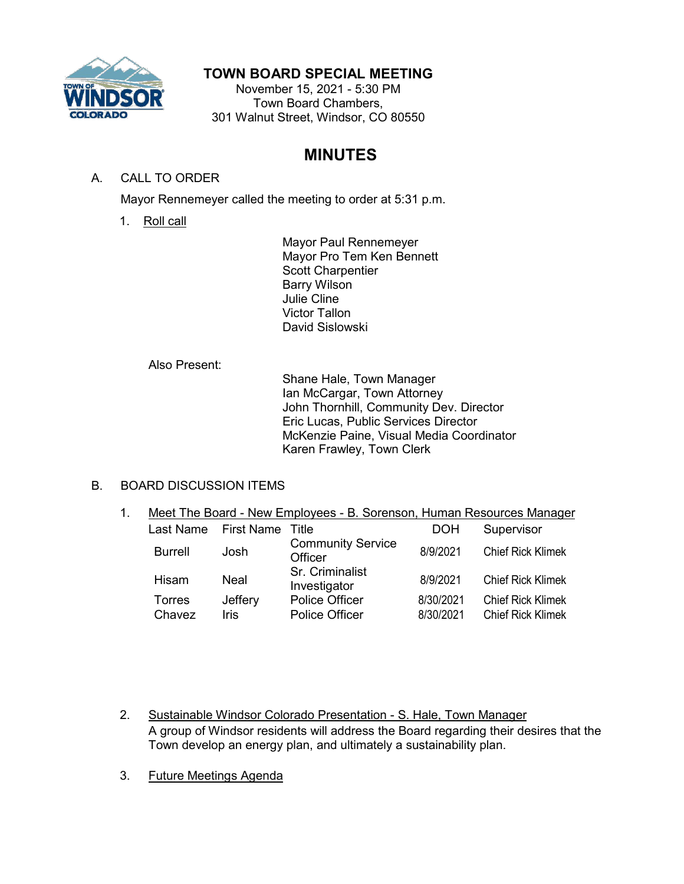

# **TOWN BOARD SPECIAL MEETING**

November 15, 2021 - 5:30 PM Town Board Chambers, 301 Walnut Street, Windsor, CO 80550

# **MINUTES**

## A. CALL TO ORDER

Mayor Rennemeyer called the meeting to order at 5:31 p.m.

1. Roll call

Mayor Paul Rennemeyer Mayor Pro Tem Ken Bennett Scott Charpentier Barry Wilson Julie Cline Victor Tallon David Sislowski

## Also Present:

Shane Hale, Town Manager Ian McCargar, Town Attorney John Thornhill, Community Dev. Director Eric Lucas, Public Services Director McKenzie Paine, Visual Media Coordinator Karen Frawley, Town Clerk

## B. BOARD DISCUSSION ITEMS

1. Meet The Board - New Employees - B. Sorenson, Human Resources Manager

| Last Name      | First Name | Title                               | <b>DOH</b> | Supervisor               |
|----------------|------------|-------------------------------------|------------|--------------------------|
| <b>Burrell</b> | Josh       | <b>Community Service</b><br>Officer | 8/9/2021   | <b>Chief Rick Klimek</b> |
| Hisam          | Neal       | Sr. Criminalist<br>Investigator     | 8/9/2021   | <b>Chief Rick Klimek</b> |
| Torres         | Jeffery    | Police Officer                      | 8/30/2021  | <b>Chief Rick Klimek</b> |
| Chavez         | Iris       | <b>Police Officer</b>               | 8/30/2021  | <b>Chief Rick Klimek</b> |

- 2. Sustainable Windsor Colorado Presentation S. Hale, Town Manager A group of Windsor residents will address the Board regarding their desires that the Town develop an energy plan, and ultimately a sustainability plan.
- 3. Future Meetings Agenda